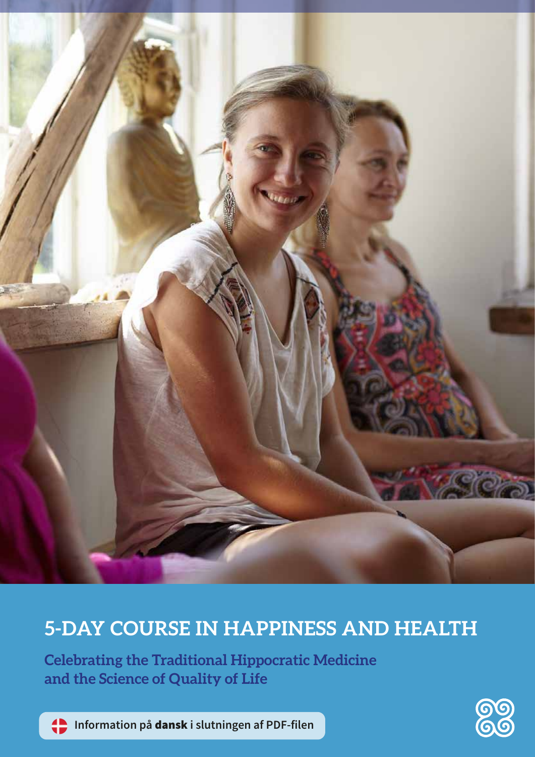

# **5-DAY COURSE IN HAPPINESS AND HEALTH**

**Celebrating the Traditional Hippocratic Medicine and the Science of Quality of Life**

**Information på** dansk **i slutningen af PDF-filen**

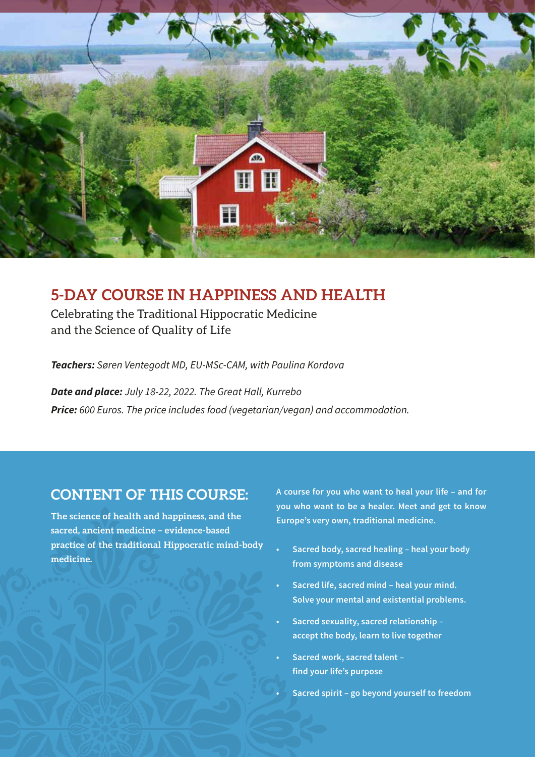

## **5-DAY COURSE IN HAPPINESS AND HEALTH**

Celebrating the Traditional Hippocratic Medicine and the Science of Quality of Life

*Teachers: Søren Ventegodt MD, EU-MSc-CAM, with Paulina Kordova*

*Date and place: July 18-22, 2022. The Great Hall, Kurrebo Price: 600 Euros. The price includes food (vegetarian/vegan) and accommodation.* **•**

### **CONTENT OF THIS COURSE:**

**The science of health and happiness, and the sacred, ancient medicine – evidence-based practice of the traditional Hippocratic mind-body medicine.** 

**A course for you who want to heal your life – and for you who want to be a healer. Meet and get to know Europe's very own, traditional medicine.**

- **• Sacred body, sacred healing heal your body from symptoms and disease**
- **• Sacred life, sacred mind heal your mind. Solve your mental and existential problems.**
- **• Sacred sexuality, sacred relationship accept the body, learn to live together**
- **• Sacred work, sacred talent find your life's purpose**
	- **• Sacred spirit go beyond yourself to freedom**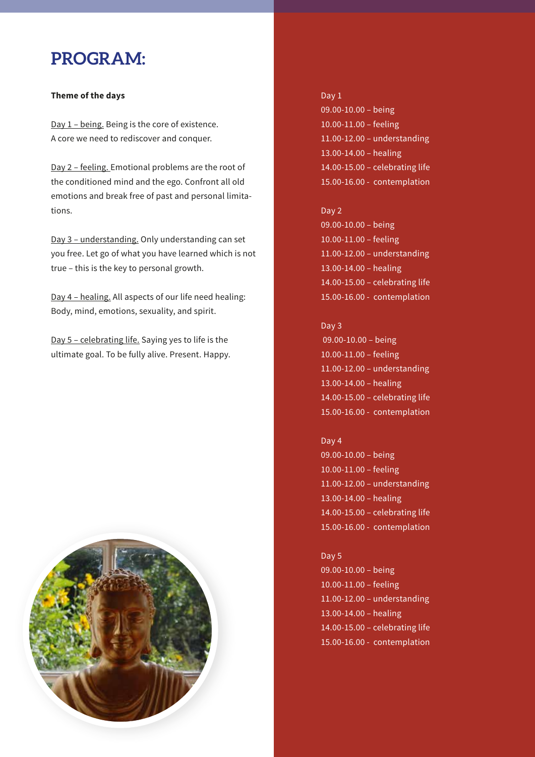## **PROGRAM:**

### **Theme of the days**

Day 1 – being. Being is the core of existence. A core we need to rediscover and conquer.

Day 2 – feeling. Emotional problems are the root of the conditioned mind and the ego. Confront all old emotions and break free of past and personal limitations.

Day 3 – understanding. Only understanding can set you free. Let go of what you have learned which is not true – this is the key to personal growth.

Day 4 – healing. All aspects of our life need healing: Body, mind, emotions, sexuality, and spirit.

Day 5 – celebrating life. Saying yes to life is the ultimate goal. To be fully alive. Present. Happy.



## Day 1

09.00-10.00 – being 10.00-11.00 – feeling 11.00-12.00 – understanding 13.00-14.00 – healing 14.00-15.00 – celebrating life 15.00-16.00 - contemplation

### Day 2

09.00-10.00 – being 10.00-11.00 – feeling 11.00-12.00 – understanding 13.00-14.00 – healing 14.00-15.00 – celebrating life 15.00-16.00 - contemplation

### Day 3

 09.00-10.00 – being 10.00-11.00 – feeling 11.00-12.00 – understanding 13.00-14.00 – healing 14.00-15.00 – celebrating life 15.00-16.00 - contemplation

### Day 4

09.00-10.00 – being 10.00-11.00 – feeling 11.00-12.00 – understanding 13.00-14.00 – healing 14.00-15.00 – celebrating life 15.00-16.00 - contemplation

### Day 5

09.00-10.00 – being 10.00-11.00 – feeling 11.00-12.00 – understanding 13.00-14.00 – healing 14.00-15.00 – celebrating life 15.00-16.00 - contemplation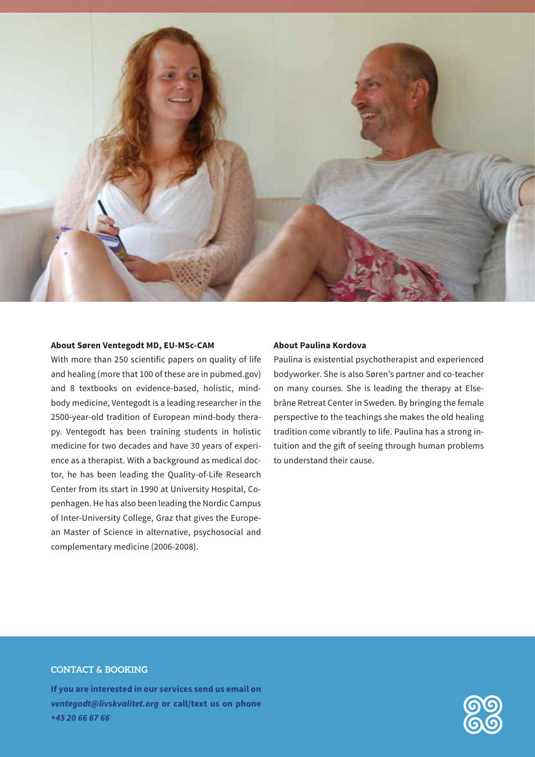

#### **About Søren Ventegodt MD, EU-MSc-CAM**

With more than 250 scientific papers on quality of life and healing (more that 100 of these are in pubmed.gov) and 8 textbooks on evidence-based, holistic, mindbody medicine, Ventegodt is a leading researcher in the 2500-year-old tradition of European mind-body therapy. Ventegodt has been training students in holistic medicine for two decades and have 30 years of experience as a therapist. With a background as medical doctor, he has been leading the Quality-of-Life Research Center from its start in 1990 at University Hospital, Copenhagen. He has also been leading the Nordic Campus of Inter-University College, Graz that gives the European Master of Science in alternative, psychosocial and complementary medicine (2006-2008).

### **About Paulina Kordova**

Paulina is existential psychotherapist and experienced bodyworker. She is also Søren's partner and co-teacher on many courses. She is leading the therapy at Elsebråne Retreat Center in Sweden. By bringing the female perspective to the teachings she makes the old healing tradition come vibrantly to life. Paulina has a strong intuition and the gift of seeing through human problems to understand their cause.

### **CONTACT & BOOKING**

**If you are interested in our services send us email on**  *ventegodt@livskvalitet.org* **or call/text us on phone**  *+45 20 66 67 66*

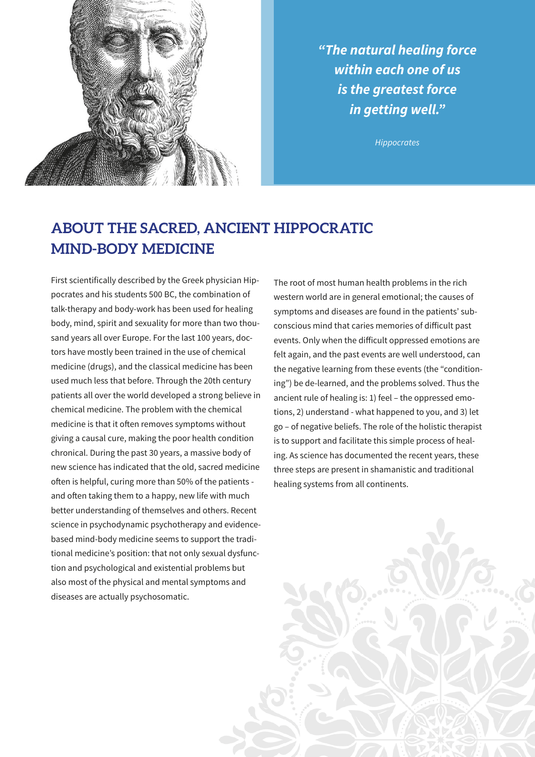

*"The natural healing force within each one of us is the greatest force in getting well."*

*Hippocrates* 

## **ABOUT THE SACRED, ANCIENT HIPPOCRATIC MIND-BODY MEDICINE**

First scientifically described by the Greek physician Hippocrates and his students 500 BC, the combination of talk-therapy and body-work has been used for healing body, mind, spirit and sexuality for more than two thousand years all over Europe. For the last 100 years, doctors have mostly been trained in the use of chemical medicine (drugs), and the classical medicine has been used much less that before. Through the 20th century patients all over the world developed a strong believe in chemical medicine. The problem with the chemical medicine is that it often removes symptoms without giving a causal cure, making the poor health condition chronical. During the past 30 years, a massive body of new science has indicated that the old, sacred medicine often is helpful, curing more than 50% of the patients and often taking them to a happy, new life with much better understanding of themselves and others. Recent science in psychodynamic psychotherapy and evidencebased mind-body medicine seems to support the traditional medicine's position: that not only sexual dysfunction and psychological and existential problems but also most of the physical and mental symptoms and diseases are actually psychosomatic.

The root of most human health problems in the rich western world are in general emotional; the causes of symptoms and diseases are found in the patients' subconscious mind that caries memories of difficult past events. Only when the difficult oppressed emotions are felt again, and the past events are well understood, can the negative learning from these events (the "conditioning") be de-learned, and the problems solved. Thus the ancient rule of healing is: 1) feel – the oppressed emotions, 2) understand - what happened to you, and 3) let go – of negative beliefs. The role of the holistic therapist is to support and facilitate this simple process of healing. As science has documented the recent years, these three steps are present in shamanistic and traditional healing systems from all continents.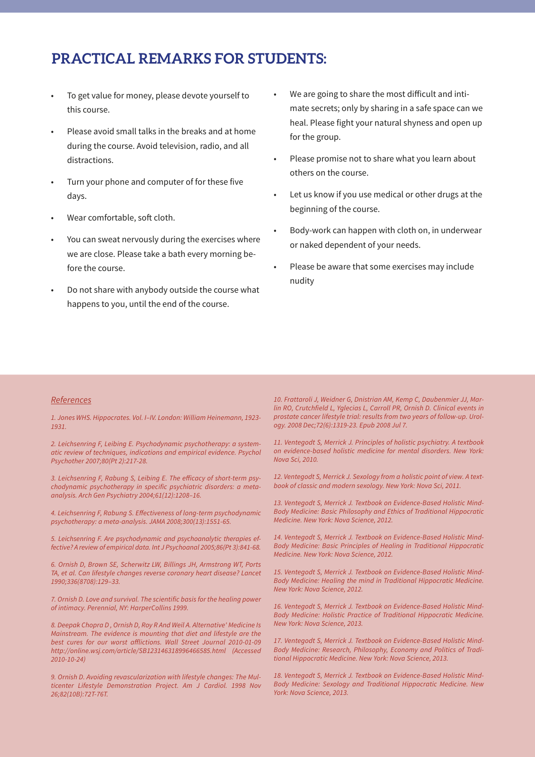### **PRACTICAL REMARKS FOR STUDENTS:**

- To get value for money, please devote yourself to this course.
- Please avoid small talks in the breaks and at home during the course. Avoid television, radio, and all distractions.
- Turn your phone and computer of for these five days.
- Wear comfortable, soft cloth.
- You can sweat nervously during the exercises where we are close. Please take a bath every morning before the course.
- Do not share with anybody outside the course what happens to you, until the end of the course.
- We are going to share the most difficult and intimate secrets; only by sharing in a safe space can we heal. Please fight your natural shyness and open up for the group.
- Please promise not to share what you learn about others on the course.
- Let us know if you use medical or other drugs at the beginning of the course.
- Body-work can happen with cloth on, in underwear or naked dependent of your needs.
- Please be aware that some exercises may include nudity

### *References*

*1. Jones WHS. Hippocrates. Vol. I–IV. London: William Heinemann, 1923- 1931.*

*2. Leichsenring F, Leibing E. Psychodynamic psychotherapy: a systematic review of techniques, indications and empirical evidence. Psychol Psychother 2007;80(Pt 2):217-28.* 

*3. Leichsenring F, Rabung S, Leibing E. The efficacy of short-term psychodynamic psychotherapy in specific psychiatric disorders: a metaanalysis. Arch Gen Psychiatry 2004;61(12):1208–16.*

*4. Leichsenring F, Rabung S. Effectiveness of long-term psychodynamic psychotherapy: a meta-analysis. JAMA 2008;300(13):1551-65.*

*5. Leichsenring F. Are psychodynamic and psychoanalytic therapies effective? A review of empirical data. Int J Psychoanal 2005;86(Pt 3):841-68.*

*6. Ornish D, Brown SE, Scherwitz LW, Billings JH, Armstrong WT, Ports TA, et al. Can lifestyle changes reverse coronary heart disease? Lancet 1990;336(8708):129–33.* 

*7. Ornish D. Love and survival. The scientific basis for the healing power of intimacy. Perennial, NY: HarperCollins 1999.*

*8. Deepak Chopra D , Ornish D, Roy R And Weil A. Alternative' Medicine Is Mainstream. The evidence is mounting that diet and lifestyle are the best cures for our worst afflictions. Wall Street Journal 2010-01-09 http://online.wsj.com/article/SB123146318996466585.html (Accessed 2010-10-24)*

*9. Ornish D. Avoiding revascularization with lifestyle changes: The Multicenter Lifestyle Demonstration Project. Am J Cardiol. 1998 Nov 26;82(10B):72T-76T.*

*10. Frattaroli J, Weidner G, Dnistrian AM, Kemp C, Daubenmier JJ, Marlin RO, Crutchfield L, Yglecias L, Carroll PR, Ornish D. Clinical events in prostate cancer lifestyle trial: results from two years of follow-up. Urology. 2008 Dec;72(6):1319-23. Epub 2008 Jul 7.*

*11. Ventegodt S, Merrick J. Principles of holistic psychiatry. A textbook on evidence-based holistic medicine for mental disorders. New York: Nova Sci, 2010.*

*12. Ventegodt S, Merrick J. Sexology from a holistic point of view. A textbook of classic and modern sexology. New York: Nova Sci, 2011.*

*13. Ventegodt S, Merrick J. Textbook on Evidence-Based Holistic Mind-Body Medicine: Basic Philosophy and Ethics of Traditional Hippocratic Medicine. New York: Nova Science, 2012.*

*14. Ventegodt S, Merrick J. Textbook on Evidence-Based Holistic Mind-Body Medicine: Basic Principles of Healing in Traditional Hippocratic Medicine. New York: Nova Science, 2012.*

*15. Ventegodt S, Merrick J. Textbook on Evidence-Based Holistic Mind-Body Medicine: Healing the mind in Traditional Hippocratic Medicine. New York: Nova Science, 2012.*

*16. Ventegodt S, Merrick J. Textbook on Evidence-Based Holistic Mind-Body Medicine: Holistic Practice of Traditional Hippocratic Medicine. New York: Nova Science, 2013.*

*17. Ventegodt S, Merrick J. Textbook on Evidence-Based Holistic Mind-Body Medicine: Research, Philosophy, Economy and Politics of Traditional Hippocratic Medicine. New York: Nova Science, 2013.*

*18. Ventegodt S, Merrick J. Textbook on Evidence-Based Holistic Mind-Body Medicine: Sexology and Traditional Hippocratic Medicine. New York: Nova Science, 2013.*